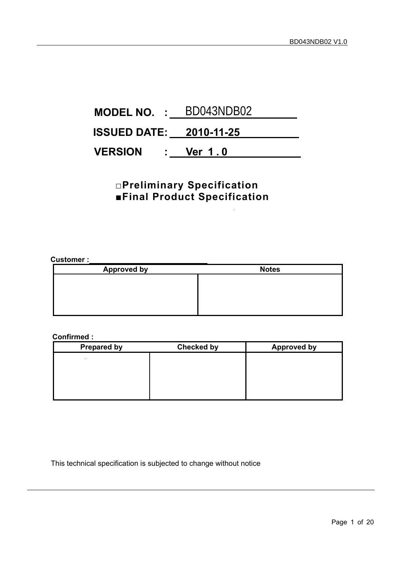# <span id="page-0-0"></span>**MODEL NO. :** BD043NDB02**ISSUED DATE: 2010-11-25 VERSION : Ver 1 . 0**

## **□Preliminary Specification ■Final Product Specification**

#### **Customer :**

| <b>Approved by</b> | <b>Notes</b> |
|--------------------|--------------|
|                    |              |
|                    |              |
|                    |              |
|                    |              |

#### **Confirmed :**

| <b>Prepared by</b> | <b>Checked by</b> | <b>Approved by</b> |
|--------------------|-------------------|--------------------|
| Allen.             |                   |                    |
|                    |                   |                    |
|                    |                   |                    |
|                    |                   |                    |
|                    |                   |                    |

This technical specification is subjected to change without notice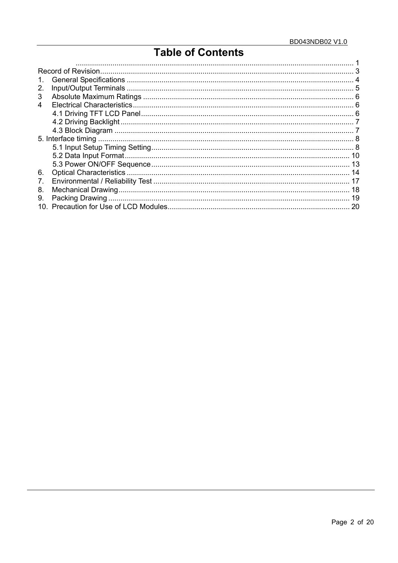## **Table of Contents**

| 3  |  |
|----|--|
| 4  |  |
|    |  |
|    |  |
|    |  |
|    |  |
|    |  |
|    |  |
|    |  |
| 6. |  |
| 7. |  |
| 8. |  |
| 9. |  |
|    |  |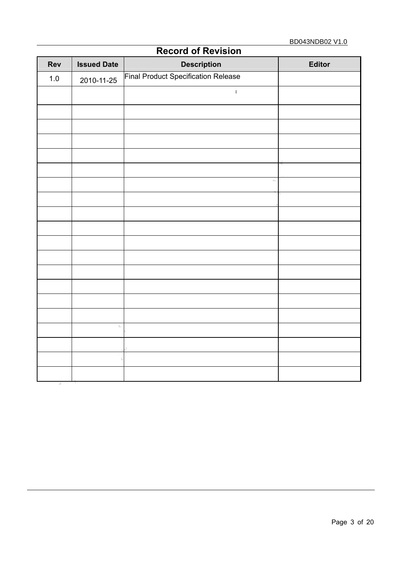<span id="page-2-0"></span>

| <b>Rev</b> | <b>Issued Date</b> | <b>RECORD OF REVISION</b><br><b>Description</b> | <b>Editor</b> |
|------------|--------------------|-------------------------------------------------|---------------|
| $1.0$      | 2010-11-25         | Final Product Specification Release             |               |
|            |                    | $\ddot{\phantom{a}}$                            |               |
|            |                    |                                                 |               |
|            |                    |                                                 |               |
|            |                    |                                                 |               |
|            |                    |                                                 |               |
|            |                    |                                                 |               |
|            |                    | b.                                              |               |
|            |                    |                                                 |               |
|            |                    |                                                 |               |
|            |                    |                                                 |               |
|            |                    |                                                 |               |
|            |                    |                                                 |               |
|            |                    |                                                 |               |
|            |                    |                                                 |               |
|            |                    |                                                 |               |
|            |                    |                                                 |               |
|            | $\mathbb{N}$       |                                                 |               |
|            |                    |                                                 |               |
|            |                    |                                                 |               |
|            |                    |                                                 |               |

### **Record of Revision**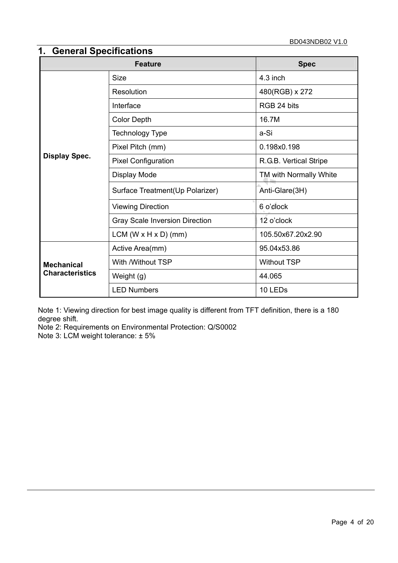## <span id="page-3-0"></span>**1. General Specifications**

|                        | <b>Feature</b>                        | <b>Spec</b>            |  |
|------------------------|---------------------------------------|------------------------|--|
|                        | <b>Size</b>                           | $4.3$ inch             |  |
|                        | Resolution                            | 480(RGB) x 272         |  |
|                        | Interface                             | RGB 24 bits            |  |
|                        | <b>Color Depth</b>                    | 16.7M                  |  |
|                        | Technology Type                       | a-Si                   |  |
|                        | Pixel Pitch (mm)                      | 0.198x0.198            |  |
| <b>Display Spec.</b>   | <b>Pixel Configuration</b>            | R.G.B. Vertical Stripe |  |
|                        | Display Mode                          | TM with Normally White |  |
|                        | Surface Treatment(Up Polarizer)       | Anti-Glare(3H)         |  |
|                        | <b>Viewing Direction</b>              | 6 o'clock              |  |
|                        | <b>Gray Scale Inversion Direction</b> | 12 o'clock             |  |
|                        | $LCM (W \times H \times D)$ (mm)      | 105.50x67.20x2.90      |  |
|                        | Active Area(mm)                       | 95.04x53.86            |  |
| <b>Mechanical</b>      | With /Without TSP                     | <b>Without TSP</b>     |  |
| <b>Characteristics</b> | Weight (g)                            | 44.065                 |  |
|                        | <b>LED Numbers</b>                    | 10 LEDs                |  |

Note 1: Viewing direction for best image quality is different from TFT definition, there is a 180 degree shift.

Note 2: Requirements on Environmental Protection: Q/S0002

Note 3: LCM weight tolerance: ± 5%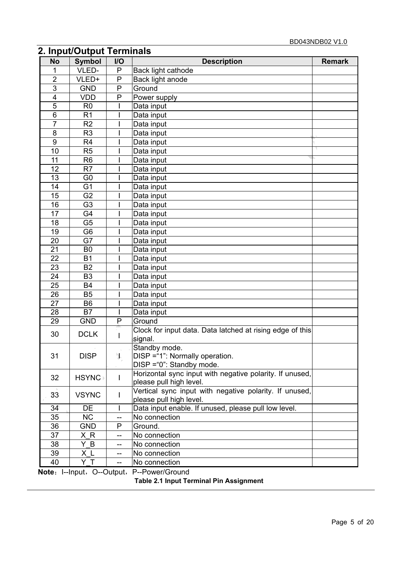## <span id="page-4-0"></span>**2. Input/Output Terminals**

| <b>No</b>               | <b>Symbol</b>  | I/O | <b>Description</b>                                                                | <b>Remark</b> |
|-------------------------|----------------|-----|-----------------------------------------------------------------------------------|---------------|
|                         | VLED-          | P   | Back light cathode                                                                |               |
| $\overline{2}$          | VLED+          | P   | Back light anode                                                                  |               |
| 3                       | <b>GND</b>     | P   | Ground                                                                            |               |
| $\overline{\mathbf{4}}$ | <b>VDD</b>     | P   | Power supply                                                                      |               |
| $\overline{5}$          | R <sub>0</sub> |     | Data input                                                                        |               |
| $\overline{6}$          | R <sub>1</sub> |     | Data input                                                                        |               |
| $\overline{7}$          | R <sub>2</sub> |     | Data input                                                                        |               |
| 8                       | R <sub>3</sub> |     | Data input                                                                        |               |
| 9                       | R <sub>4</sub> |     | Data input                                                                        |               |
| 10                      | R <sub>5</sub> |     | Data input                                                                        |               |
| 11                      | R <sub>6</sub> |     | Data input                                                                        |               |
| 12                      | R <sub>7</sub> |     | Data input                                                                        |               |
| 13                      | G <sub>0</sub> |     | Data input                                                                        |               |
| 14                      | G <sub>1</sub> |     | Data input                                                                        |               |
| 15                      | G <sub>2</sub> |     | Data input                                                                        |               |
| 16                      | G <sub>3</sub> |     | Data input                                                                        |               |
| 17                      | G4             |     | Data input                                                                        |               |
| 18                      | G <sub>5</sub> |     | Data input                                                                        |               |
| 19                      | G <sub>6</sub> |     | Data input                                                                        |               |
| 20                      | G7             |     | Data input                                                                        |               |
| 21                      | B <sub>0</sub> |     | Data input                                                                        |               |
| 22                      | <b>B1</b>      |     | Data input                                                                        |               |
| 23                      | <b>B2</b>      |     | Data input                                                                        |               |
| 24                      | B <sub>3</sub> |     | Data input                                                                        |               |
| 25                      | <b>B4</b>      |     | Data input                                                                        |               |
| 26                      | B <sub>5</sub> |     | Data input                                                                        |               |
| 27                      | B <sub>6</sub> |     | Data input                                                                        |               |
| 28                      | <b>B7</b>      |     | Data input                                                                        |               |
| 29                      | <b>GND</b>     | P   | Ground                                                                            |               |
| 30                      | <b>DCLK</b>    | L   | Clock for input data. Data latched at rising edge of this<br>signal.              |               |
| 31                      | <b>DISP</b>    | Ŋ.  | Standby mode.<br>DISP = "1": Normally operation.                                  |               |
|                         |                |     | DISP = "0": Standby mode.                                                         |               |
| 32                      | <b>HSYNC</b>   | L   | Horizontal sync input with negative polarity. If unused,                          |               |
|                         |                |     | please pull high level.                                                           |               |
| 33                      | <b>VSYNC</b>   |     | Vertical sync input with negative polarity. If unused,<br>please pull high level. |               |
| 34                      | DE             |     | Data input enable. If unused, please pull low level.                              |               |
| 35                      | <b>NC</b>      | $-$ | No connection                                                                     |               |
| 36                      | <b>GND</b>     | P   | Ground.                                                                           |               |
| 37                      | ХR             | --  | No connection                                                                     |               |
| 38                      | Y B            | --  | No connection                                                                     |               |
| 39                      | XL             | $-$ | No connection                                                                     |               |
| 40                      | YT             | $-$ | No connection                                                                     |               |
|                         |                |     | Note: I--Input, O--Output, P--Power/Ground                                        |               |
|                         |                |     | Table 2.1 Input Terminal Pin Assignment                                           |               |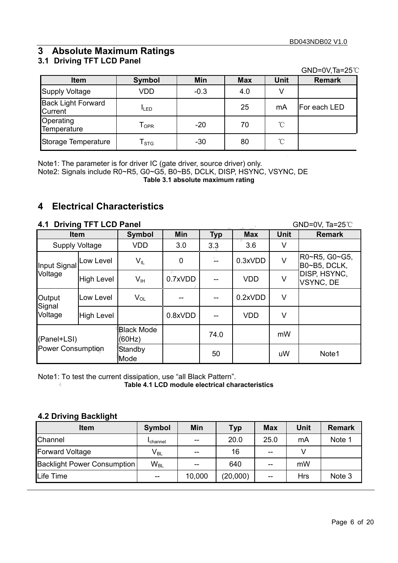## **3 Absolute Maximum Ratings**

## **3.1 Driving TFT LCD Panel**

GND=0V,Ta=25℃

| <b>Item</b>                                 | Symbol                      | Min    | <b>Max</b> | <b>Unit</b>     | <b>Remark</b> |
|---------------------------------------------|-----------------------------|--------|------------|-----------------|---------------|
| <b>Supply Voltage</b>                       | <b>VDD</b>                  | $-0.3$ | 4.0        |                 |               |
| <b>Back Light Forward</b><br><b>Current</b> | <b>I</b> LED                |        | 25         | mA              | For each LED  |
| Operating<br>Temperature                    | $\mathsf{T}_{\mathsf{OPR}}$ | $-20$  | 70         | $\rm ^{\circ}C$ |               |
| Storage Temperature                         | $\mathsf{T}_{\text{STG}}$   | $-30$  | 80         | $\mathrm{C}$    |               |

Note1: The parameter is for driver IC (gate driver, source driver) only.

Note2: Signals include R0~R5, G0~G5, B0~B5, DCLK, DISP, HSYNC, VSYNC, DE

**Table 3.1 absolute maximum rating** 

### **4 Electrical Characteristics**

### **4.1 Driving TFT LCD Panel GND=0V, Ta=25℃**

| <b>Item</b>                             |                   | Symbol                      | <b>Min</b> | <b>Typ</b> | <b>Max</b> | <b>Unit</b> | <b>Remark</b>                    |
|-----------------------------------------|-------------------|-----------------------------|------------|------------|------------|-------------|----------------------------------|
| <b>Supply Voltage</b>                   |                   | <b>VDD</b>                  | 3.0        | 3.3        | 3.6        | V           |                                  |
| Input Signal                            | Low Level         | $V_{IL}$                    | 0          |            | 0.3xVDD    | $\vee$      | R0~R5, G0~G5,<br>B0~B5, DCLK,    |
| Voltage                                 | <b>High Level</b> | $V_{\text{IH}}$             | 0.7xVDD    |            | <b>VDD</b> | $\vee$      | DISP, HSYNC,<br><b>VSYNC, DE</b> |
| Output<br>Signal                        | Low Level         | $V_{OL}$                    |            |            | 0.2xVDD    | V           |                                  |
| Voltage                                 | <b>High Level</b> |                             | 0.8xVDD    |            | <b>VDD</b> | V           |                                  |
| (Panel+LSI)<br><b>Power Consumption</b> |                   | <b>Black Mode</b><br>(60Hz) |            | 74.0       |            | mW          |                                  |
|                                         |                   | Standby<br>Mode             |            | 50         |            | uW          | Note1                            |

Note1: To test the current dissipation, use "all Black Pattern".

**Table 4.1 LCD module electrical characteristics** 

### **4.2 Driving Backlight**

 $\triangleleft$ 

| <b>Item</b>                        | Symbol                     | <b>Min</b> | <b>Typ</b> | Max   | <b>Unit</b> | <b>Remark</b> |
|------------------------------------|----------------------------|------------|------------|-------|-------------|---------------|
| Channel                            | <b>I</b> channel           | $-$        | 20.0       | 25.0  | mA          | Note 1        |
| <b>Forward Voltage</b>             | $V_{BL}$                   | $- -$      | 16         | $-$   |             |               |
| <b>Backlight Power Consumption</b> | $\mathsf{W}_{\mathsf{BL}}$ |            | 640        | $- -$ | mW          |               |
| Life Time                          | $- -$                      | 10,000     | (20,000)   | $- -$ | <b>Hrs</b>  | Note 3        |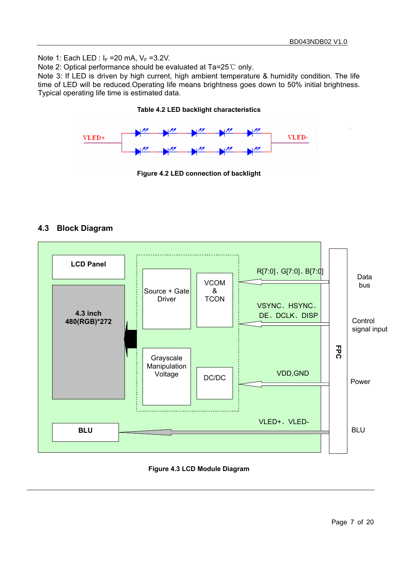Note 1: Each LED :  $I_F = 20$  mA,  $V_F = 3.2V$ .

Note 2: Optical performance should be evaluated at Ta=25℃ only.

Note 3: If LED is driven by high current, high ambient temperature & humidity condition. The life time of LED will be reduced.Operating life means brightness goes down to 50% initial brightness. Typical operating life time is estimated data.

#### **Table 4.2 LED backlight characteristics**



**Figure 4.2 LED connection of backlight** 

### **4.3 Block Diagram**



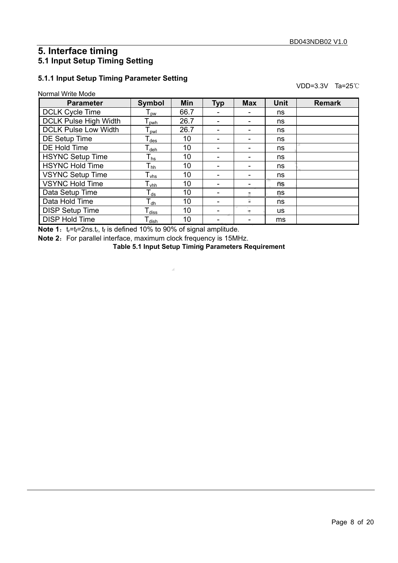### **5. Interface timing 5.1 Input Setup Timing Setting**

#### **5.1.1 Input Setup Timing Parameter Setting**

| Normal Write Mode |  |
|-------------------|--|
|                   |  |

VDD=3.3V Ta=25℃

| <b>Parameter</b>             | Symbol                           | <b>Min</b> | <b>Typ</b> | <b>Max</b> | <b>Unit</b> | <b>Remark</b> |
|------------------------------|----------------------------------|------------|------------|------------|-------------|---------------|
| <b>DCLK Cycle Time</b>       | $\mathsf{\Gamma}_{\mathsf{pw}}$  | 66.7       |            |            | ns          |               |
| <b>DCLK Pulse High Width</b> | $\mathsf{T}_{\mathsf{pwh}}$      | 26.7       |            |            | ns          |               |
| <b>DCLK Pulse Low Width</b>  | $\mathsf{\Gamma}_{\mathsf{pwl}}$ | 26.7       |            |            | ns          |               |
| DE Setup Time                | $\mathsf{T}_{\mathsf{des}}$      | 10         |            |            | ns          |               |
| DE Hold Time                 | $\mathsf{T}_{\mathsf{deh}}$      | 10         |            |            | ns          |               |
| <b>HSYNC Setup Time</b>      | ${\mathsf T}_{\mathsf{hs}}$      | 10         |            |            | ns          |               |
| <b>HSYNC Hold Time</b>       | ${\mathsf T}_{\sf hh}$           | 10         |            | ۰          | ns          |               |
| <b>VSYNC Setup Time</b>      | $\mathsf{T}_{\mathsf{vhs}}$      | 10         |            |            | ns          |               |
| <b>VSYNC Hold Time</b>       | $\mathsf{T}_{\mathsf{vhh}}$      | 10         |            |            | ns          |               |
| Data Setup Time              | $\mathsf{T}_{\mathsf{ds}}$       | 10         |            |            | ns          |               |
| Data Hold Time               | $\mathsf{T}_{\mathsf{dh}}$       | 10         |            | s          | ns          |               |
| <b>DISP Setup Time</b>       | $\mathsf{T}_{\mathsf{diss}}$     | 10         |            |            | <b>us</b>   |               |
| <b>DISP Hold Time</b>        | $\mathsf{T}_{\mathsf{dish}}$     | 10         |            |            | ms          |               |

**Note 1:**  $t_r=t_f=2ns.t_r$ ,  $t_f$  is defined 10% to 90% of signal amplitude.

**Note 2:** For parallel interface, maximum clock frequency is 15MHz.

**Table 5.1 Input Setup Timing Parameters Requirement**

 $\overline{\mathcal{A}}$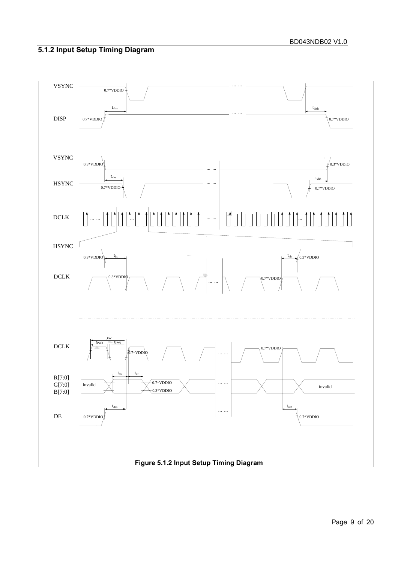## **5.1.2 Input Setup Timing Diagram**

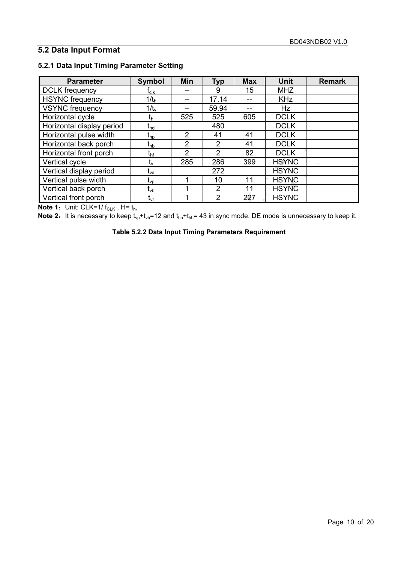### **5.2 Data Input Format**

| <b>Parameter</b>          | <b>Symbol</b>                  | Min            | <b>Typ</b>     | <b>Max</b> | <b>Unit</b>  | <b>Remark</b> |
|---------------------------|--------------------------------|----------------|----------------|------------|--------------|---------------|
| <b>DCLK</b> frequency     | $\sf{r}_{\sf{clk}}$            |                | 9              | 15         | <b>MHZ</b>   |               |
| <b>HSYNC</b> frequency    | 1/t <sub>h</sub>               | --             | 17.14          |            | <b>KHz</b>   |               |
| <b>VSYNC</b> frequency    | $1/t_v$                        |                | 59.94          |            | <b>Hz</b>    |               |
| Horizontal cycle          | $t_{h}$                        | 525            | 525            | 605        | <b>DCLK</b>  |               |
| Horizontal display period | $\mathfrak{r}_{\mathsf{hd}}$   |                | 480            |            | <b>DCLK</b>  |               |
| Horizontal pulse width    | $\mathfrak{r}_{\text{\rm hp}}$ | 2              | 41             | 41         | <b>DCLK</b>  |               |
| Horizontal back porch     | $\mathfrak{t}_{\mathsf{hb}}$   | $\mathcal{P}$  | $\mathcal{P}$  | 41         | <b>DCLK</b>  |               |
| Horizontal front porch    | t <sub>hf</sub>                | $\overline{2}$ | 2              | 82         | <b>DCLK</b>  |               |
| Vertical cycle            | $t_{v}$                        | 285            | 286            | 399        | <b>HSYNC</b> |               |
| Vertical display period   | $t_{vd}$                       |                | 272            |            | <b>HSYNC</b> |               |
| Vertical pulse width      | $\mathfrak{t}_{\mathsf{vp}}$   |                | 10             | 11         | <b>HSYNC</b> |               |
| Vertical back porch       | $t_{\mathsf{vb}}$              |                | 2              | 11         | <b>HSYNC</b> |               |
| Vertical front porch      | $t_{\sf vf}$                   |                | $\overline{2}$ | 227        | <b>HSYNC</b> |               |

### **5.2.1 Data Input Timing Parameter Setting**

**Note 1**: Unit: CLK=1/ $f_{CLK}$ , H=  $t_h$ ,

**Note 2:** It is necessary to keep  $t_{vp}+t_{vb}=12$  and  $t_{hp}+t_{hb}= 43$  in sync mode. DE mode is unnecessary to keep it.

**Table 5.2.2 Data Input Timing Parameters Requirement**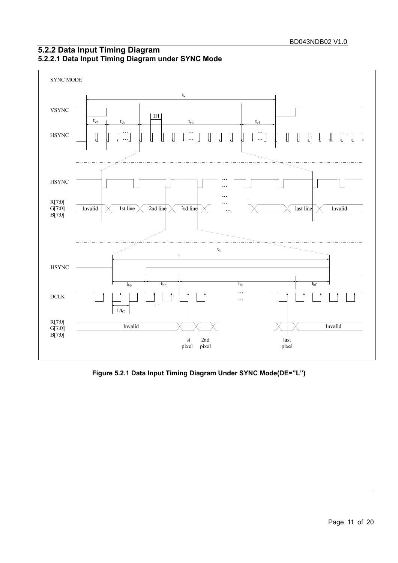

### **5.2.2 Data Input Timing Diagram 5.2.2.1 Data Input Timing Diagram under SYNC Mode**

**Figure 5.2.1 Data Input Timing Diagram Under SYNC Mode(DE="L")**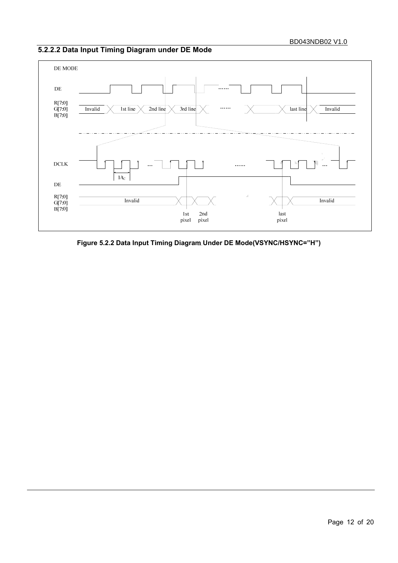### **5.2.2.2 Data Input Timing Diagram under DE Mode**



**Figure 5.2.2 Data Input Timing Diagram Under DE Mode(VSYNC/HSYNC="H")**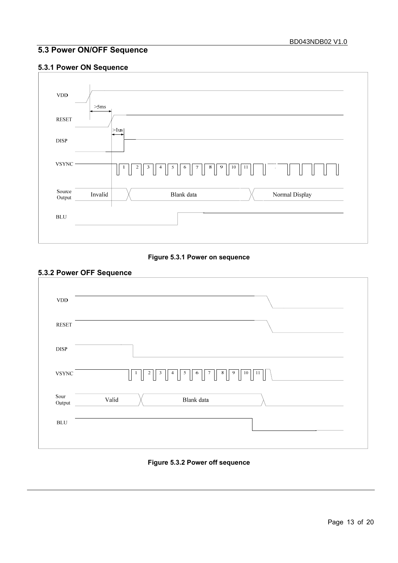### **5.3 Power ON/OFF Sequence**

### **5.3.1 Power ON Sequence**



**Figure 5.3.1 Power on sequence** 

#### **5.3.2 Power OFF Sequence**



#### **Figure 5.3.2 Power off sequence**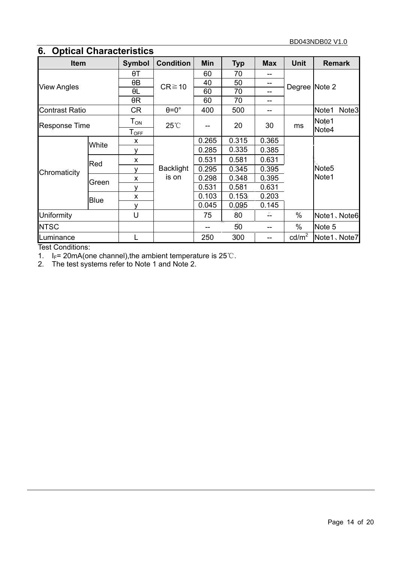## **6. Optical Characteristics**

| <b>Item</b>           |             | <b>Symbol</b>       | <b>Condition</b>          | Min   | <b>Typ</b> | <b>Max</b> | <b>Unit</b>     | <b>Remark</b>     |       |
|-----------------------|-------------|---------------------|---------------------------|-------|------------|------------|-----------------|-------------------|-------|
| <b>View Angles</b>    |             | θT                  | $CR \ge 10$               | 60    | 70         |            | Degree Note 2   |                   |       |
|                       |             | $\theta$ B          |                           | 40    | 50         |            |                 |                   |       |
|                       |             | θL                  |                           | 60    | 70         |            |                 |                   |       |
|                       |             | $\theta$ R          |                           | 60    | 70         |            |                 |                   |       |
| <b>Contrast Ratio</b> |             | <b>CR</b>           | $\theta = 0^\circ$        | 400   | 500        | --         |                 | Note1             | Note3 |
| <b>Response Time</b>  |             | $T_{\mathsf{ON}}$   | $25^{\circ}$              |       | 20         | 30         | ms              | Note1             |       |
|                       |             | ${\sf T}_{\sf OEE}$ |                           |       |            |            |                 | Note4             |       |
|                       | White       | X                   | <b>Backlight</b><br>is on | 0.265 | 0.315      | 0.365      |                 | Note <sub>5</sub> |       |
| Chromaticity          |             | ۷                   |                           | 0.285 | 0.335      | 0.385      |                 |                   |       |
|                       | Red         | X                   |                           | 0.531 | 0.581      | 0.631      |                 |                   |       |
|                       |             |                     |                           | 0.295 | 0.345      | 0.395      |                 |                   |       |
|                       | Green       | X                   |                           | 0.298 | 0.348      | 0.395      |                 | Note1             |       |
|                       |             | v                   |                           | 0.531 | 0.581      | 0.631      |                 |                   |       |
|                       | <b>Blue</b> | X                   |                           | 0.103 | 0.153      | 0.203      |                 |                   |       |
|                       |             | v                   |                           | 0.045 | 0.095      | 0.145      |                 |                   |       |
| Uniformity            |             | U                   |                           | 75    | 80         |            | $\%$            | Note1、Note6       |       |
| <b>NTSC</b>           |             |                     |                           |       | 50         |            | %               | Note 5            |       |
| Luminance             |             |                     |                           | 250   | 300        |            | $\text{cd/m}^2$ | Note1、Note7       |       |

Test Conditions:

1. I<sub>F</sub>= 20mA(one channel), the ambient temperature is  $25^{\circ}$ C.

2. The test systems refer to Note 1 and Note 2.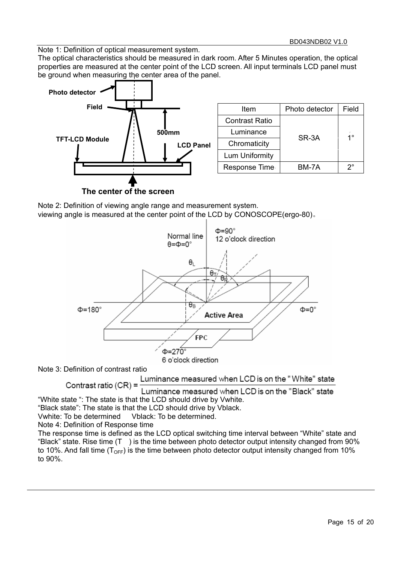$S$ R-3A  $1^\circ$ 

Note 1: Definition of optical measurement system.

The optical characteristics should be measured in dark room. After 5 Minutes operation, the optical properties are measured at the center point of the LCD screen. All input terminals LCD panel must be ground when measuring the center area of the panel.



**The center of the screen** 

Note 2: Definition of viewing angle range and measurement system. viewing angle is measured at the center point of the LCD by CONOSCOPE(ergo-80)。



Note 3: Definition of contrast ratio

Luminance measured when LCD is on the "White" state Contrast ratio (CR) =

Luminance measured when LCD is on the "Black" state "White state ": The state is that the LCD should drive by Vwhite.

"Black state": The state is that the LCD should drive by Vblack.

Vwhite: To be determined Vblack: To be determined.

Note 4: Definition of Response time

The response time is defined as the LCD optical switching time interval between "White" state and "Black" state. Rise time (T ) is the time between photo detector output intensity changed from 90% to 10%. And fall time  $(T<sub>OFF</sub>)$  is the time between photo detector output intensity changed from 10% to 90%.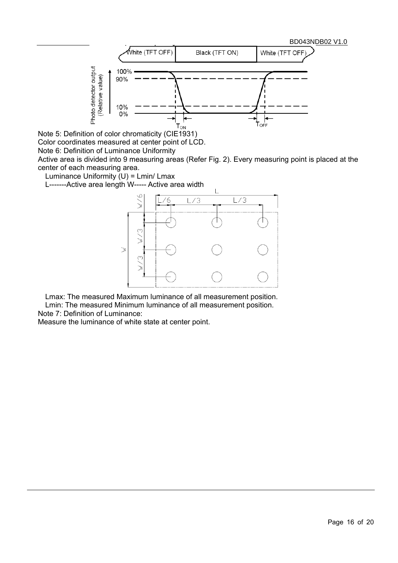

Note 5: Definition of color chromaticity (CIE1931)

Color coordinates measured at center point of LCD.

Note 6: Definition of Luminance Uniformity

Active area is divided into 9 measuring areas (Refer Fig. 2). Every measuring point is placed at the center of each measuring area.

Luminance Uniformity  $(U)$  = Lmin/ Lmax

L-------Active area length W----- Active area width



Lmax: The measured Maximum luminance of all measurement position. Lmin: The measured Minimum luminance of all measurement position.

Note 7: Definition of Luminance:

Measure the luminance of white state at center point.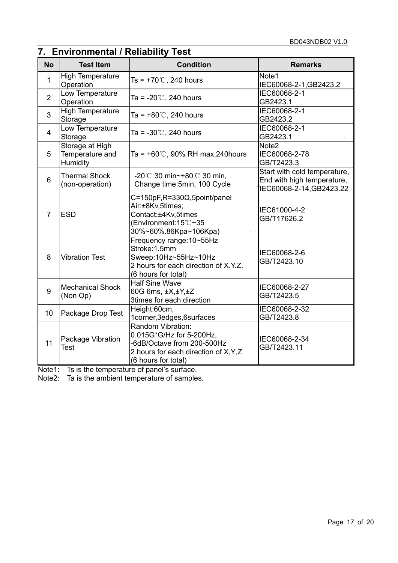## **7. Environmental / Reliability Test**

| <b>No</b>      | <b>Test Item</b>                               | <b>Condition</b>                                                                                                                            | <b>Remarks</b>                                                                         |
|----------------|------------------------------------------------|---------------------------------------------------------------------------------------------------------------------------------------------|----------------------------------------------------------------------------------------|
| $\mathbf{1}$   | <b>High Temperature</b><br>Operation           | Ts = $+70^{\circ}$ C, 240 hours                                                                                                             | Note1<br>IEC60068-2-1, GB2423.2                                                        |
| $\overline{2}$ | Low Temperature<br>Operation                   | Ta = $-20^{\circ}$ C, 240 hours                                                                                                             | IEC60068-2-1<br>GB2423.1                                                               |
| 3              | <b>High Temperature</b><br>Storage             | Ta = $+80^{\circ}$ C, 240 hours                                                                                                             | IEC60068-2-1<br>GB2423.2                                                               |
| 4              | Low Temperature<br>Storage                     | Ta = $-30^{\circ}$ C, 240 hours                                                                                                             | IEC60068-2-1<br>GB2423.1                                                               |
| 5              | Storage at High<br>Temperature and<br>Humidity | Ta = $+60^{\circ}$ C, 90% RH max, 240 hours                                                                                                 | Note <sub>2</sub><br>IEC60068-2-78<br>GB/T2423.3                                       |
| 6              | <b>Thermal Shock</b><br>(non-operation)        | $-20^{\circ}$ C 30 min~ $+80^{\circ}$ C 30 min,<br>Change time: 5min, 100 Cycle                                                             | Start with cold temperature,<br>End with high temperature,<br>IEC60068-2-14, GB2423.22 |
| 7              | <b>ESD</b>                                     | $C=150pF, R=330\Omega, 5point/panel$<br>Air:±8Kv,5times;<br>Contact:±4Kv,5times<br>(Environment: 15°C~35<br>30%~60%.86Kpa~106Kpa)           | IEC61000-4-2<br>GB/T17626.2                                                            |
| 8              | <b>Vibration Test</b>                          | Frequency range: 10~55Hz<br>Stroke:1.5mm<br>Sweep:10Hz~55Hz~10Hz<br>2 hours for each direction of X.Y.Z.<br>(6 hours for total)             | IEC60068-2-6<br>GB/T2423.10                                                            |
| 9              | <b>Mechanical Shock</b><br>(Non Op)            | <b>Half Sine Wave</b><br>60G 6ms, ±X,±Y,±Z<br>3times for each direction                                                                     | IEC60068-2-27<br>GB/T2423.5                                                            |
| 10             | Package Drop Test                              | Height:60cm,<br>1corner, 3edges, 6surfaces                                                                                                  | IEC60068-2-32<br>GB/T2423.8                                                            |
| 11             | Package Vibration<br><b>Test</b>               | Random Vibration:<br>0.015G*G/Hz for 5-200Hz,<br>-6dB/Octave from 200-500Hz<br>2 hours for each direction of X, Y, Z<br>(6 hours for total) | IEC60068-2-34<br>GB/T2423.11                                                           |

Note1: Ts is the temperature of panel's surface.

Note2: Ta is the ambient temperature of samples.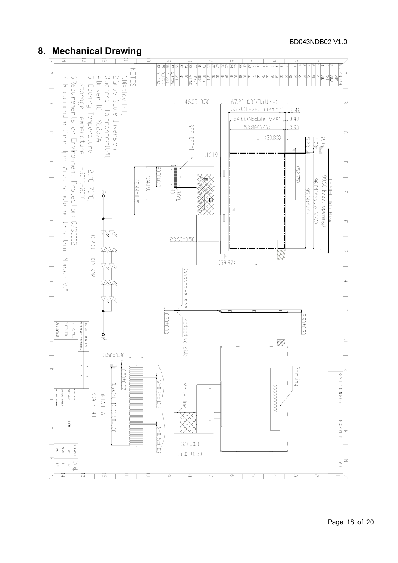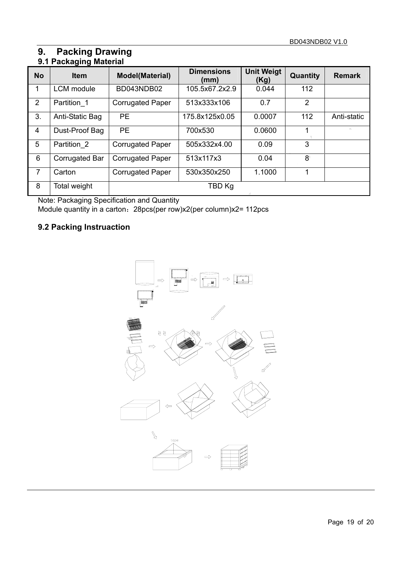### **9. Packing Drawing 9.1 Packaging Material**

|                | ∙ອ…ອ              |                         |                           |                           |                |                 |  |  |  |
|----------------|-------------------|-------------------------|---------------------------|---------------------------|----------------|-----------------|--|--|--|
| <b>No</b>      | <b>Item</b>       | <b>Model(Material)</b>  | <b>Dimensions</b><br>(mm) | <b>Unit Weigt</b><br>(Kg) | Quantity       | <b>Remark</b>   |  |  |  |
| 1              | <b>LCM</b> module | BD043NDB02              | 105.5x67.2x2.9            | 0.044                     | 112            |                 |  |  |  |
| $\overline{2}$ | Partition 1       | <b>Corrugated Paper</b> | 513x333x106               | 0.7                       | $\overline{2}$ |                 |  |  |  |
| 3.             | Anti-Static Bag   | <b>PE</b>               | 175.8x125x0.05            | 0.0007                    | 112            | Anti-static     |  |  |  |
| 4              | Dust-Proof Bag    | <b>PE</b>               | 700x530                   | 0.0600                    |                | $\Delta \omega$ |  |  |  |
| 5              | Partition 2       | <b>Corrugated Paper</b> | 505x332x4.00              | 0.09                      | 3              |                 |  |  |  |
| 6              | Corrugated Bar    | <b>Corrugated Paper</b> | 513x117x3                 | 0.04                      | 8              |                 |  |  |  |
| 7              | Carton            | <b>Corrugated Paper</b> | 530x350x250               | 1.1000                    |                |                 |  |  |  |
| 8              | Total weight      |                         | TBD Kg                    |                           |                |                 |  |  |  |

Note: Packaging Specification and Quantity

Module quantity in a carton:28pcs(per row)x2(per column)x2= 112pcs

### **9.2 Packing Instruaction**